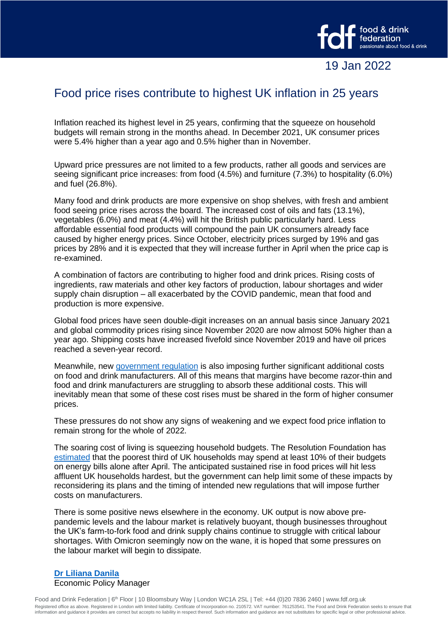

## Food price rises contribute to highest UK inflation in 25 years

Inflation reached its highest level in 25 years, confirming that the squeeze on household budgets will remain strong in the months ahead. In December 2021, UK consumer prices were 5.4% higher than a year ago and 0.5% higher than in November.

Upward price pressures are not limited to a few products, rather all goods and services are seeing significant price increases: from food (4.5%) and furniture (7.3%) to hospitality (6.0%) and fuel (26.8%).

Many food and drink products are more expensive on shop shelves, with fresh and ambient food seeing price rises across the board. The increased cost of oils and fats (13.1%), vegetables (6.0%) and meat (4.4%) will hit the British public particularly hard. Less affordable essential food products will compound the pain UK consumers already face caused by higher energy prices. Since October, electricity prices surged by 19% and gas prices by 28% and it is expected that they will increase further in April when the price cap is re-examined.

A combination of factors are contributing to higher food and drink prices. Rising costs of ingredients, raw materials and other key factors of production, labour shortages and wider supply chain disruption – all exacerbated by the COVID pandemic, mean that food and production is more expensive.

Global food prices have seen double-digit increases on an annual basis since January 2021 and global commodity prices rising since November 2020 are now almost 50% higher than a year ago. Shipping costs have increased fivefold since November 2019 and have oil prices reached a seven-year record.

Meanwhile, new [government regulation](https://www.fdf.org.uk/globalassets/resources/publications/reports/eating-into-household-budgets-report.pdf) is also imposing further significant additional costs on food and drink manufacturers. All of this means that margins have become razor-thin and food and drink manufacturers are struggling to absorb these additional costs. This will inevitably mean that some of these cost rises must be shared in the form of higher consumer prices.

These pressures do not show any signs of weakening and we expect food price inflation to remain strong for the whole of 2022.

The soaring cost of living is squeezing household budgets. The Resolution Foundation has [estimated](https://www.resolutionfoundation.org/comment/spiralling-energy-prices-will-turn-the-uks-cost-of-living-crisis-into-a-catastrophe/) that the poorest third of UK households may spend at least 10% of their budgets on energy bills alone after April. The anticipated sustained rise in food prices will hit less affluent UK households hardest, but the government can help limit some of these impacts by reconsidering its plans and the timing of intended new regulations that will impose further costs on manufacturers.

There is some positive news elsewhere in the economy. UK output is now above prepandemic levels and the labour market is relatively buoyant, though businesses throughout the UK's farm-to-fork food and drink supply chains continue to struggle with critical labour shortages. With Omicron seemingly now on the wane, it is hoped that some pressures on the labour market will begin to dissipate.

## **[Dr Liliana Danila](mailto:liliana.danila@fdf.org.uk)** Economic Policy Manager

Food and Drink Federation | 6<sup>th</sup> Floor | 10 Bloomsbury Way | London WC1A 2SL | Tel: +44 (0)20 7836 2460 | www.fdf.org.uk Registered office as above. Registered in London with limited liability. Certificate of Incorporation no. 210572. VAT number: 761253541. The Food and Drink Federation seeks to ensure that information and guidance it provides are correct but accepts no liability in respect thereof. Such information and guidance are not substitutes for specific legal or other professional advice.